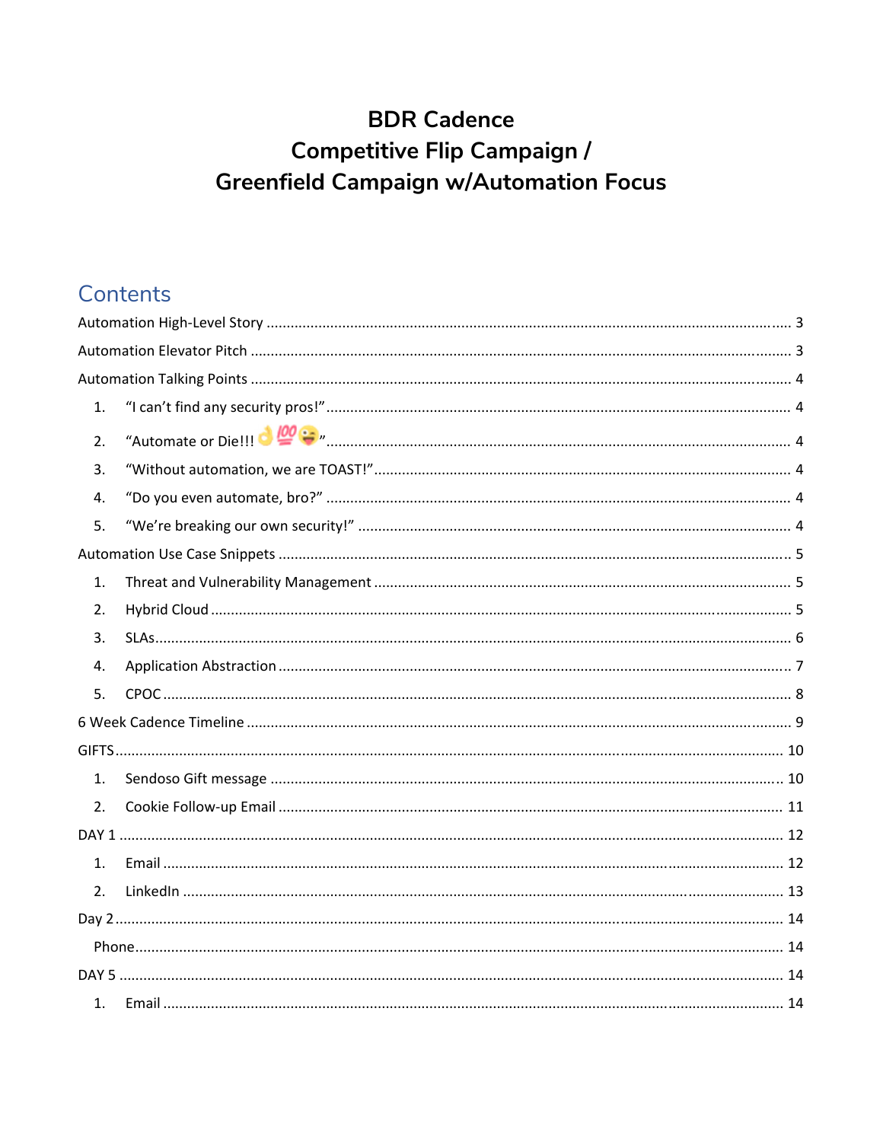# **BDR Cadence Competitive Flip Campaign / Greenfield Campaign w/Automation Focus**

# Contents

| 1. |  |
|----|--|
| 2. |  |
| 3. |  |
| 4. |  |
| 5. |  |
|    |  |
| 1. |  |
| 2. |  |
| 3. |  |
| 4. |  |
| 5. |  |
|    |  |
|    |  |
| 1. |  |
| 2. |  |
|    |  |
| 1. |  |
| 2. |  |
|    |  |
|    |  |
|    |  |
| 1. |  |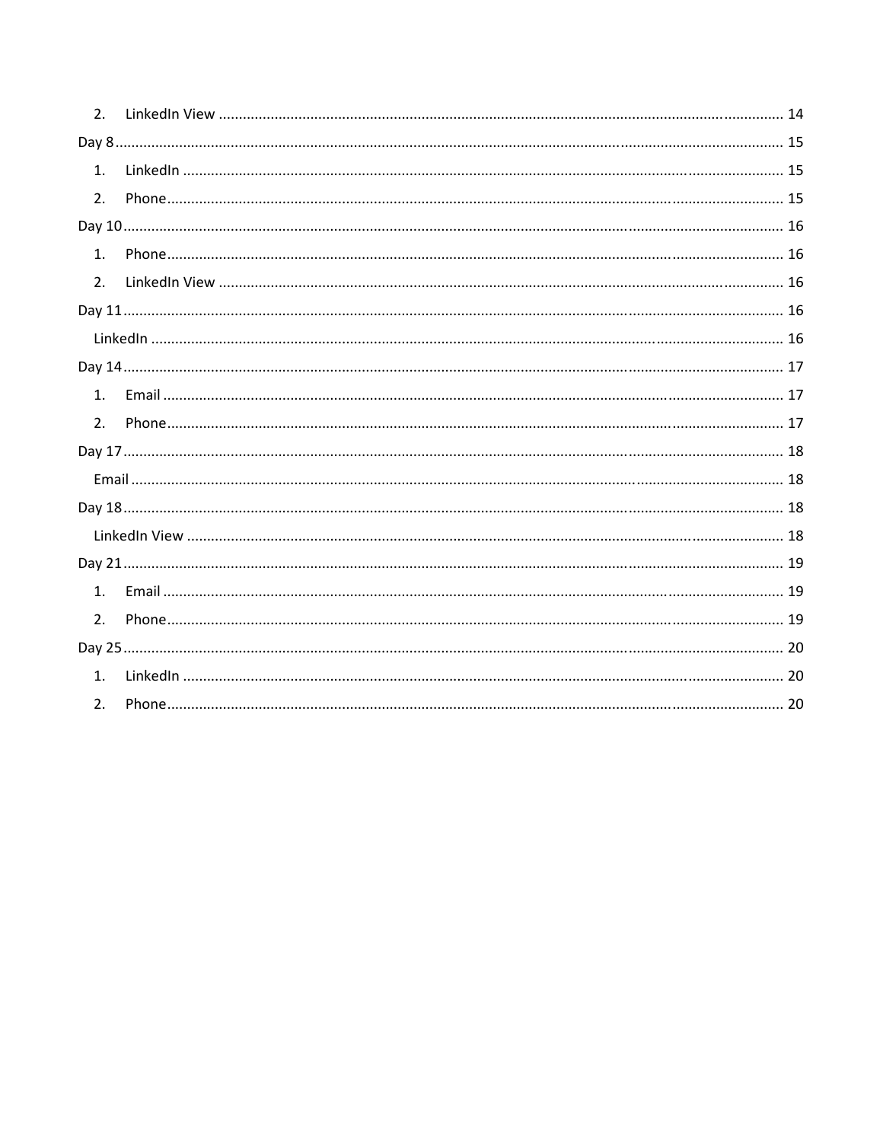| 2. |  |
|----|--|
|    |  |
| 1. |  |
| 2. |  |
|    |  |
| 1. |  |
| 2. |  |
|    |  |
|    |  |
|    |  |
| 1. |  |
| 2. |  |
|    |  |
|    |  |
|    |  |
|    |  |
|    |  |
| 1. |  |
| 2. |  |
|    |  |
| 1. |  |
| 2. |  |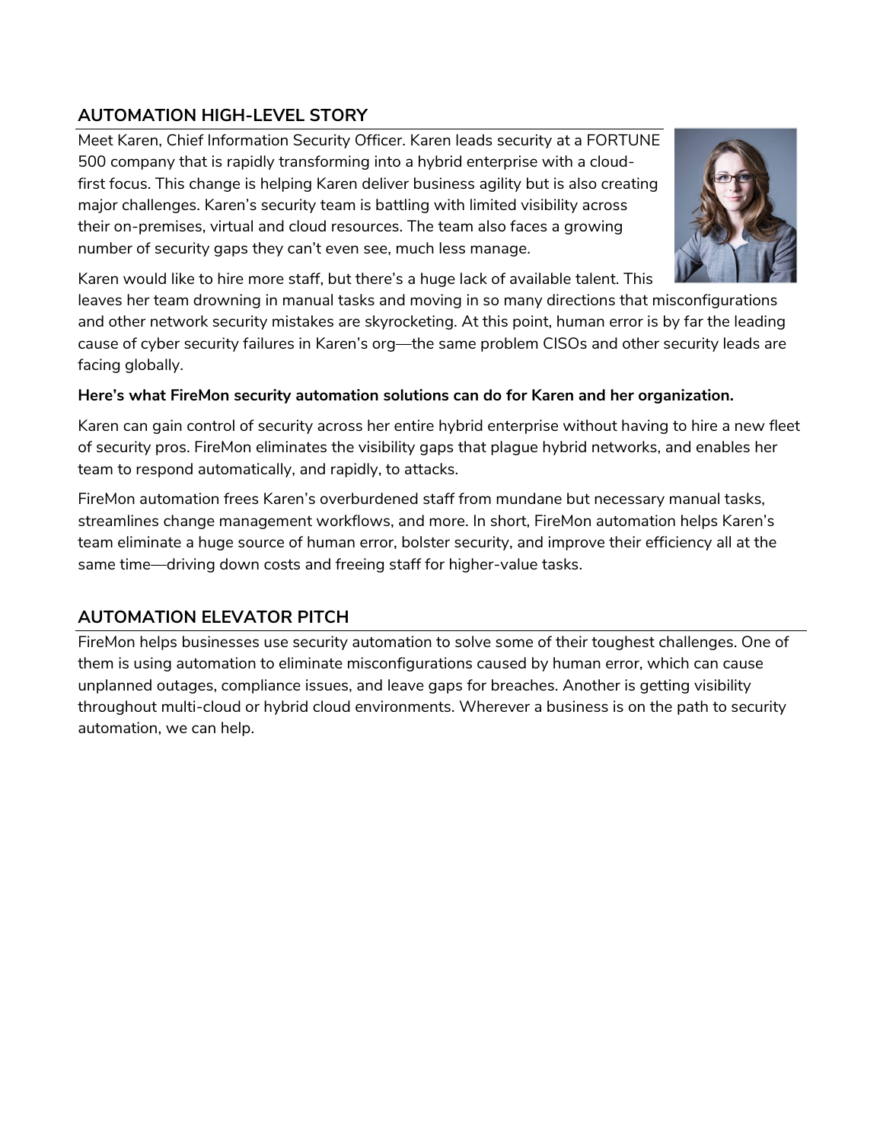# **AUTOMATION HIGH-LEVEL STORY**

Meet Karen, Chief Information Security Officer. Karen leads security at a FORTUNE 500 company that is rapidly transforming into a hybrid enterprise with a cloudfirst focus. This change is helping Karen deliver business agility but is also creating major challenges. Karen's security team is battling with limited visibility across their on-premises, virtual and cloud resources. The team also faces a growing number of security gaps they can't even see, much less manage.



Karen would like to hire more staff, but there's a huge lack of available talent. This

leaves her team drowning in manual tasks and moving in so many directions that misconfigurations and other network security mistakes are skyrocketing. At this point, human error is by far the leading cause of cyber security failures in Karen's org—the same problem CISOs and other security leads are facing globally.

# **Here's what FireMon security automation solutions can do for Karen and her organization.**

Karen can gain control of security across her entire hybrid enterprise without having to hire a new fleet of security pros. FireMon eliminates the visibility gaps that plague hybrid networks, and enables her team to respond automatically, and rapidly, to attacks.

FireMon automation frees Karen's overburdened staff from mundane but necessary manual tasks, streamlines change management workflows, and more. In short, FireMon automation helps Karen's team eliminate a huge source of human error, bolster security, and improve their efficiency all at the same time—driving down costs and freeing staff for higher-value tasks.

# **AUTOMATION ELEVATOR PITCH**

FireMon helps businesses use security automation to solve some of their toughest challenges. One of them is using automation to eliminate misconfigurations caused by human error, which can cause unplanned outages, compliance issues, and leave gaps for breaches. Another is getting visibility throughout multi-cloud or hybrid cloud environments. Wherever a business is on the path to security automation, we can help.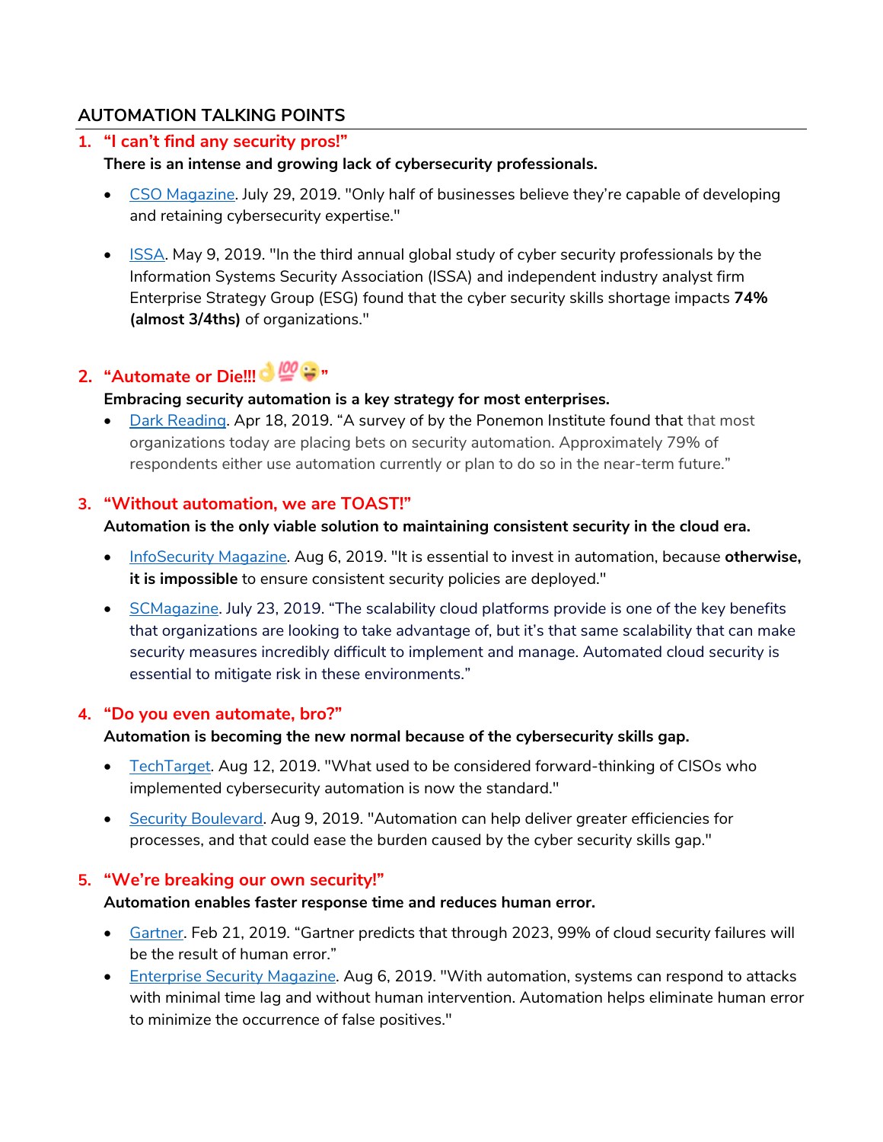# **AUTOMATION TALKING POINTS**

### **1. "I can't find any security pros!"**

#### **There is an intense and growing lack of cybersecurity professionals.**

- CSO Magazine. July 29, 2019. "Only half of businesses believe they're capable of developing and retaining cybersecurity expertise."
- ISSA. May 9, 2019. "In the third annual global study of cyber security professionals by the Information Systems Security Association (ISSA) and independent industry analyst firm Enterprise Strategy Group (ESG) found that the cyber security skills shortage impacts **74% (almost 3/4ths)** of organizations."

# **2. "Automate or Die!!! & @ :**

#### **Embracing security automation is a key strategy for most enterprises.**

• Dark Reading. Apr 18, 2019. "A survey of by the Ponemon Institute found that that most organizations today are placing bets on security automation. Approximately 79% of respondents either use automation currently or plan to do so in the near-term future."

#### **3. "Without automation, we are TOAST!"**

#### **Automation is the only viable solution to maintaining consistent security in the cloud era.**

- InfoSecurity Magazine. Aug 6, 2019. "It is essential to invest in automation, because **otherwise, it is impossible** to ensure consistent security policies are deployed."
- SCMagazine. July 23, 2019. "The scalability cloud platforms provide is one of the key benefits that organizations are looking to take advantage of, but it's that same scalability that can make security measures incredibly difficult to implement and manage. Automated cloud security is essential to mitigate risk in these environments."

# **4. "Do you even automate, bro?"**

#### **Automation is becoming the new normal because of the cybersecurity skills gap.**

- TechTarget. Aug 12, 2019. "What used to be considered forward-thinking of CISOs who implemented cybersecurity automation is now the standard."
- Security Boulevard. Aug 9, 2019. "Automation can help deliver greater efficiencies for processes, and that could ease the burden caused by the cyber security skills gap."

# **5. "We're breaking our own security!"**

#### **Automation enables faster response time and reduces human error.**

- Gartner. Feb 21, 2019. "Gartner predicts that through 2023, 99% of cloud security failures will be the result of human error."
- **Enterprise Security Magazine. Aug 6, 2019. "With automation, systems can respond to attacks 6.** with minimal time lag and without human intervention. Automation helps eliminate human error to minimize the occurrence of false positives."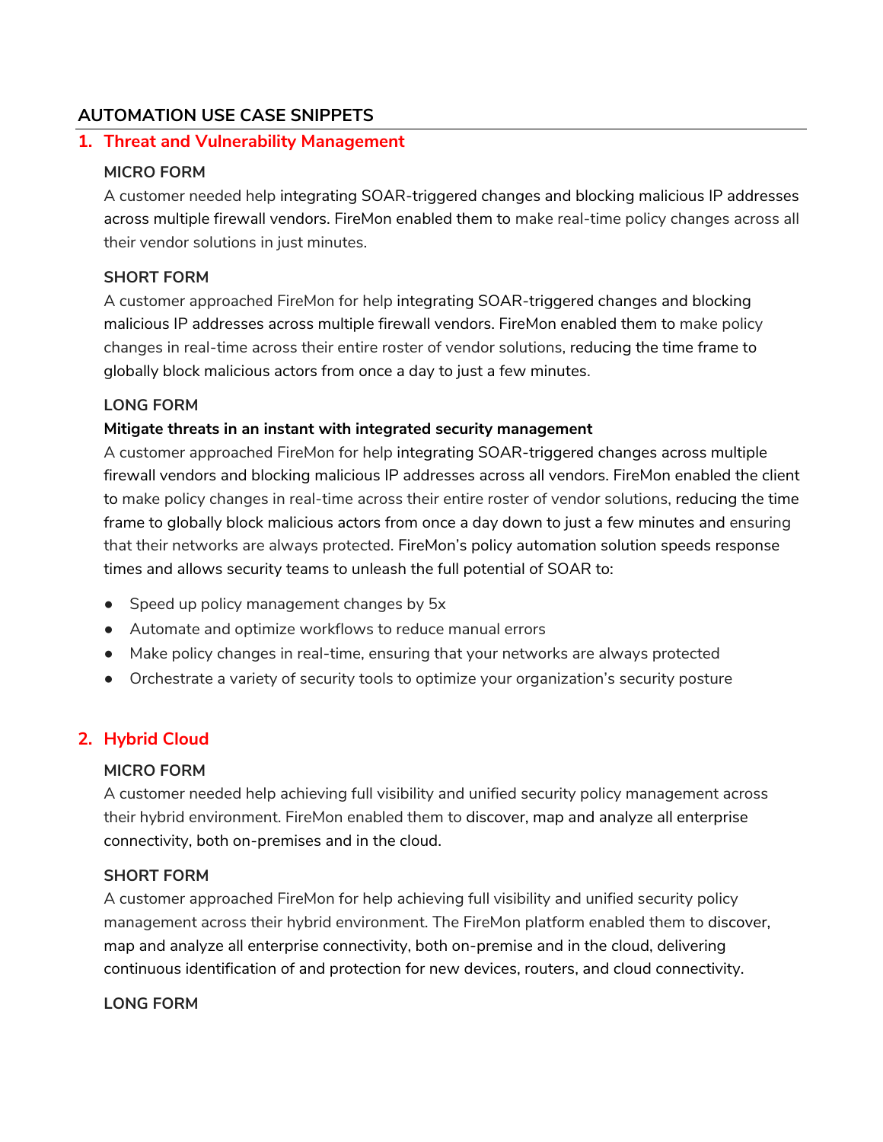# **AUTOMATION USE CASE SNIPPETS**

#### **1. Threat and Vulnerability Management**

#### **MICRO FORM**

A customer needed help integrating SOAR-triggered changes and blocking malicious IP addresses across multiple firewall vendors. FireMon enabled them to make real-time policy changes across all their vendor solutions in just minutes.

#### **SHORT FORM**

A customer approached FireMon for help integrating SOAR-triggered changes and blocking malicious IP addresses across multiple firewall vendors. FireMon enabled them to make policy changes in real-time across their entire roster of vendor solutions, reducing the time frame to globally block malicious actors from once a day to just a few minutes.

#### **LONG FORM**

#### **Mitigate threats in an instant with integrated security management**

A customer approached FireMon for help integrating SOAR-triggered changes across multiple firewall vendors and blocking malicious IP addresses across all vendors. FireMon enabled the client to make policy changes in real-time across their entire roster of vendor solutions, reducing the time frame to globally block malicious actors from once a day down to just a few minutes and ensuring that their networks are always protected. FireMon's policy automation solution speeds response times and allows security teams to unleash the full potential of SOAR to:

- Speed up policy management changes by 5x
- Automate and optimize workflows to reduce manual errors
- Make policy changes in real-time, ensuring that your networks are always protected
- Orchestrate a variety of security tools to optimize your organization's security posture

# **2. Hybrid Cloud**

#### **MICRO FORM**

A customer needed help achieving full visibility and unified security policy management across their hybrid environment. FireMon enabled them to discover, map and analyze all enterprise connectivity, both on-premises and in the cloud.

#### **SHORT FORM**

A customer approached FireMon for help achieving full visibility and unified security policy management across their hybrid environment. The FireMon platform enabled them to discover, map and analyze all enterprise connectivity, both on-premise and in the cloud, delivering continuous identification of and protection for new devices, routers, and cloud connectivity.

#### **LONG FORM**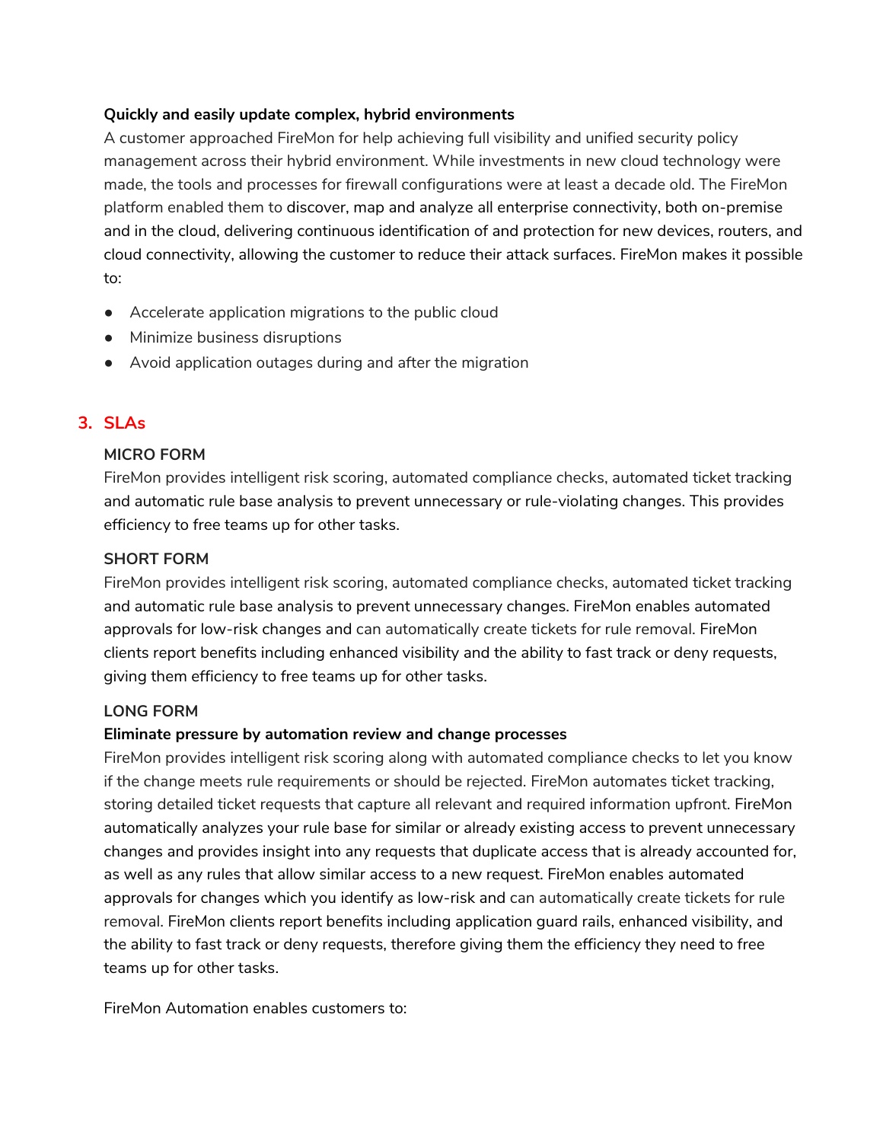#### **Quickly and easily update complex, hybrid environments**

A customer approached FireMon for help achieving full visibility and unified security policy management across their hybrid environment. While investments in new cloud technology were made, the tools and processes for firewall configurations were at least a decade old. The FireMon platform enabled them to discover, map and analyze all enterprise connectivity, both on-premise and in the cloud, delivering continuous identification of and protection for new devices, routers, and cloud connectivity, allowing the customer to reduce their attack surfaces. FireMon makes it possible to:

- Accelerate application migrations to the public cloud
- Minimize business disruptions
- Avoid application outages during and after the migration

# **3. SLAs**

# **MICRO FORM**

FireMon provides intelligent risk scoring, automated compliance checks, automated ticket tracking and automatic rule base analysis to prevent unnecessary or rule-violating changes. This provides efficiency to free teams up for other tasks.

# **SHORT FORM**

FireMon provides intelligent risk scoring, automated compliance checks, automated ticket tracking and automatic rule base analysis to prevent unnecessary changes. FireMon enables automated approvals for low-risk changes and can automatically create tickets for rule removal. FireMon clients report benefits including enhanced visibility and the ability to fast track or deny requests, giving them efficiency to free teams up for other tasks.

# **LONG FORM**

# **Eliminate pressure by automation review and change processes**

FireMon provides intelligent risk scoring along with automated compliance checks to let you know if the change meets rule requirements or should be rejected. FireMon automates ticket tracking, storing detailed ticket requests that capture all relevant and required information upfront. FireMon automatically analyzes your rule base for similar or already existing access to prevent unnecessary changes and provides insight into any requests that duplicate access that is already accounted for, as well as any rules that allow similar access to a new request. FireMon enables automated approvals for changes which you identify as low-risk and can automatically create tickets for rule removal. FireMon clients report benefits including application guard rails, enhanced visibility, and the ability to fast track or deny requests, therefore giving them the efficiency they need to free teams up for other tasks.

FireMon Automation enables customers to: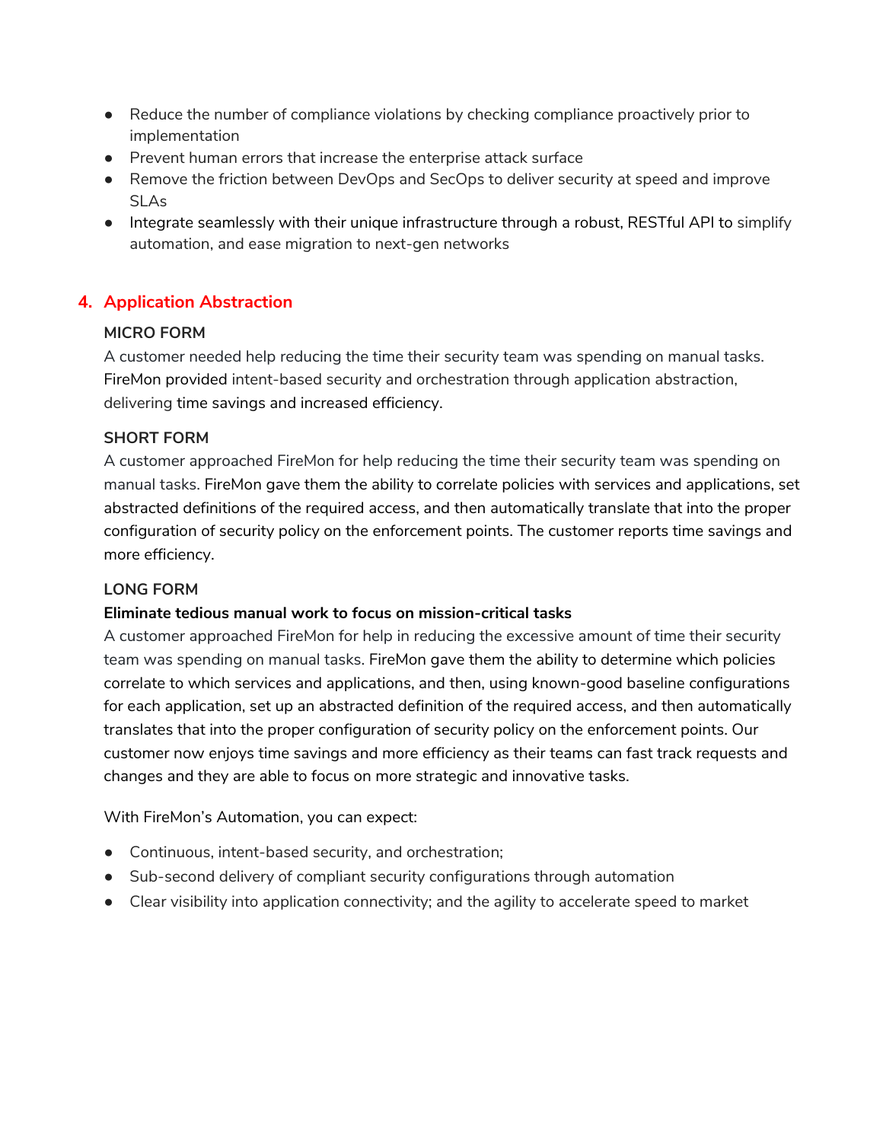- Reduce the number of compliance violations by checking compliance proactively prior to implementation
- Prevent human errors that increase the enterprise attack surface
- Remove the friction between DevOps and SecOps to deliver security at speed and improve SLAs
- Integrate seamlessly with their unique infrastructure through a robust, RESTful API to simplify automation, and ease migration to next-gen networks

# **4. Application Abstraction**

#### **MICRO FORM**

A customer needed help reducing the time their security team was spending on manual tasks. FireMon provided intent-based security and orchestration through application abstraction, delivering time savings and increased efficiency.

#### **SHORT FORM**

A customer approached FireMon for help reducing the time their security team was spending on manual tasks. FireMon gave them the ability to correlate policies with services and applications, set abstracted definitions of the required access, and then automatically translate that into the proper configuration of security policy on the enforcement points. The customer reports time savings and more efficiency.

#### **LONG FORM**

#### **Eliminate tedious manual work to focus on mission-critical tasks**

A customer approached FireMon for help in reducing the excessive amount of time their security team was spending on manual tasks. FireMon gave them the ability to determine which policies correlate to which services and applications, and then, using known-good baseline configurations for each application, set up an abstracted definition of the required access, and then automatically translates that into the proper configuration of security policy on the enforcement points. Our customer now enjoys time savings and more efficiency as their teams can fast track requests and changes and they are able to focus on more strategic and innovative tasks.

With FireMon's Automation, you can expect:

- Continuous, intent-based security, and orchestration;
- Sub-second delivery of compliant security configurations through automation
- Clear visibility into application connectivity; and the agility to accelerate speed to market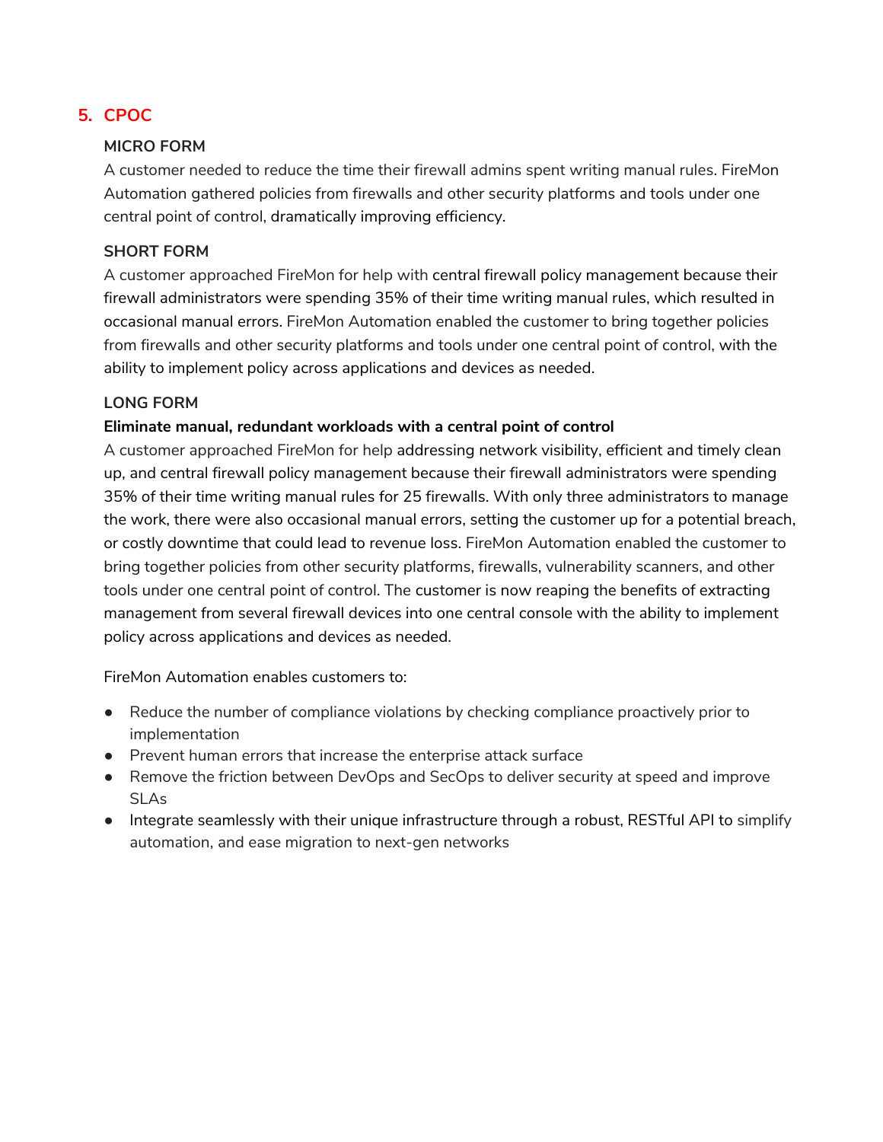# **5. CPOC**

#### **MICRO FORM**

A customer needed to reduce the time their firewall admins spent writing manual rules. FireMon Automation gathered policies from firewalls and other security platforms and tools under one central point of control, dramatically improving efficiency.

#### **SHORT FORM**

A customer approached FireMon for help with central firewall policy management because their firewall administrators were spending 35% of their time writing manual rules, which resulted in occasional manual errors. FireMon Automation enabled the customer to bring together policies from firewalls and other security platforms and tools under one central point of control, with the ability to implement policy across applications and devices as needed.

#### **LONG FORM**

#### **Eliminate manual, redundant workloads with a central point of control**

A customer approached FireMon for help addressing network visibility, efficient and timely clean up, and central firewall policy management because their firewall administrators were spending 35% of their time writing manual rules for 25 firewalls. With only three administrators to manage the work, there were also occasional manual errors, setting the customer up for a potential breach, or costly downtime that could lead to revenue loss. FireMon Automation enabled the customer to bring together policies from other security platforms, firewalls, vulnerability scanners, and other tools under one central point of control. The customer is now reaping the benefits of extracting management from several firewall devices into one central console with the ability to implement policy across applications and devices as needed.

FireMon Automation enables customers to:

- Reduce the number of compliance violations by checking compliance proactively prior to implementation
- Prevent human errors that increase the enterprise attack surface
- Remove the friction between DevOps and SecOps to deliver security at speed and improve SLAs
- Integrate seamlessly with their unique infrastructure through a robust, RESTful API to simplify automation, and ease migration to next-gen networks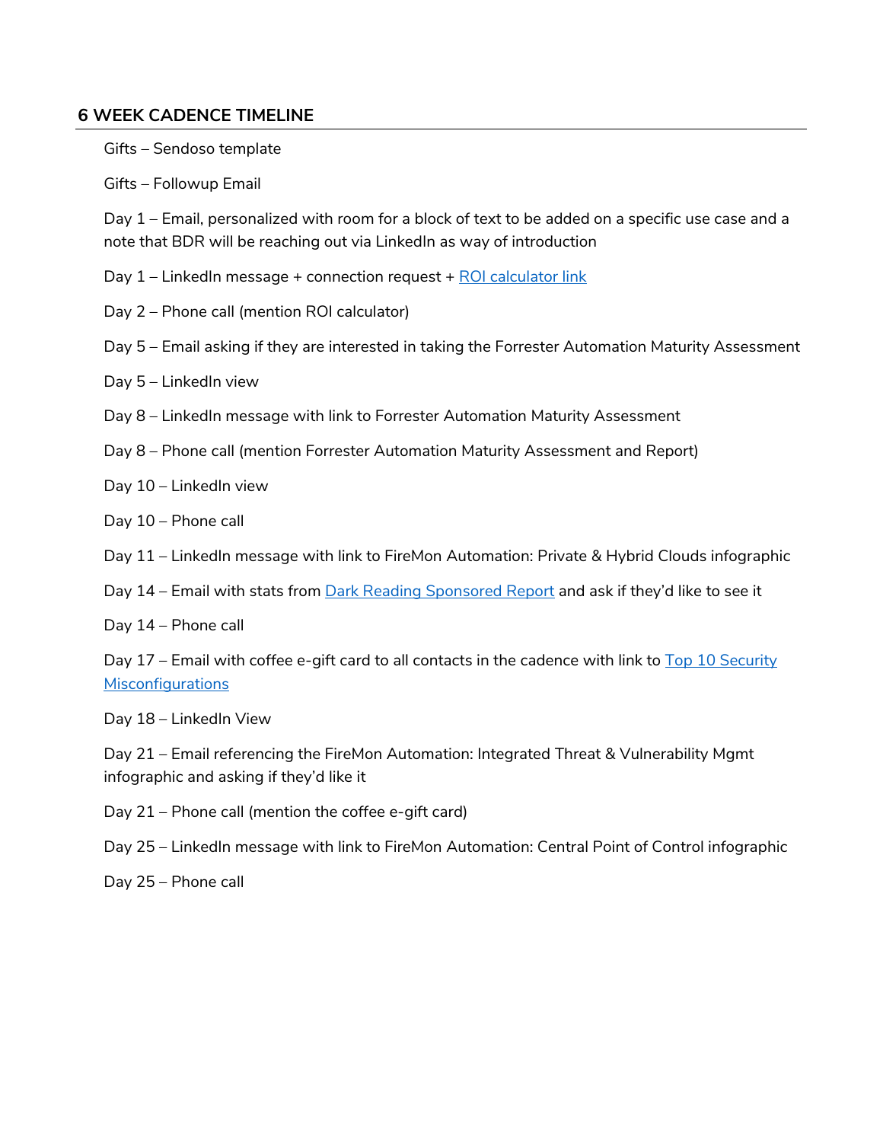#### **6 WEEK CADENCE TIMELINE**

Gifts – Sendoso template

Gifts – Followup Email

Day 1 – Email, personalized with room for a block of text to be added on a specific use case and a note that BDR will be reaching out via LinkedIn as way of introduction

- Day  $1$  LinkedIn message + connection request +  $\frac{ROI}{C}$  calculator link
- Day 2 Phone call (mention ROI calculator)
- Day 5 Email asking if they are interested in taking the Forrester Automation Maturity Assessment

Day 5 – LinkedIn view

- Day 8 LinkedIn message with link to Forrester Automation Maturity Assessment
- Day 8 Phone call (mention Forrester Automation Maturity Assessment and Report)
- Day 10 LinkedIn view
- Day 10 Phone call
- Day 11 LinkedIn message with link to FireMon Automation: Private & Hybrid Clouds infographic
- Day 14 Email with stats from Dark Reading Sponsored Report and ask if they'd like to see it

Day 14 – Phone call

Day 17 – Email with coffee e-gift card to all contacts in the cadence with link to  $\overline{Top}$  10 Security **Misconfigurations** 

Day 18 – LinkedIn View

Day 21 – Email referencing the FireMon Automation: Integrated Threat & Vulnerability Mgmt infographic and asking if they'd like it

Day 21 – Phone call (mention the coffee e-gift card)

Day 25 – LinkedIn message with link to FireMon Automation: Central Point of Control infographic

Day 25 – Phone call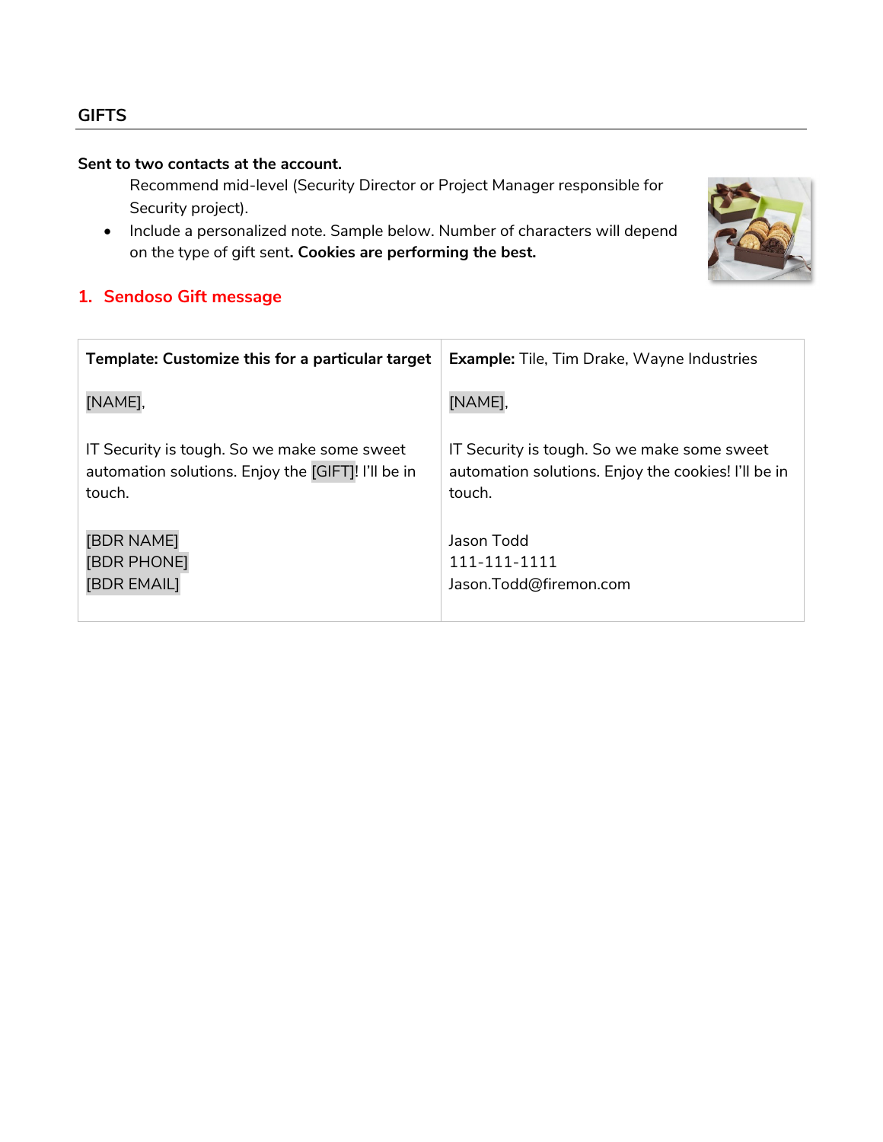# **GIFTS**

# **Sent to two contacts at the account.**

Recommend mid-level (Security Director or Project Manager responsible for Security project).

• Include a personalized note. Sample below. Number of characters will depend on the type of gift sent**. Cookies are performing the best.**



# **1. Sendoso Gift message**

| Template: Customize this for a particular target   | <b>Example:</b> Tile, Tim Drake, Wayne Industries   |
|----------------------------------------------------|-----------------------------------------------------|
| [NAME],                                            | [NAME],                                             |
| IT Security is tough. So we make some sweet        | IT Security is tough. So we make some sweet         |
| automation solutions. Enjoy the [GIFT]! I'll be in | automation solutions. Enjoy the cookies! I'll be in |
| touch.                                             | touch.                                              |
| <b>[BDR NAME]</b>                                  | Jason Todd                                          |
| <b>[BDR PHONE]</b>                                 | 111-111-1111                                        |
| <b>[BDR EMAIL]</b>                                 | Jason.Todd@firemon.com                              |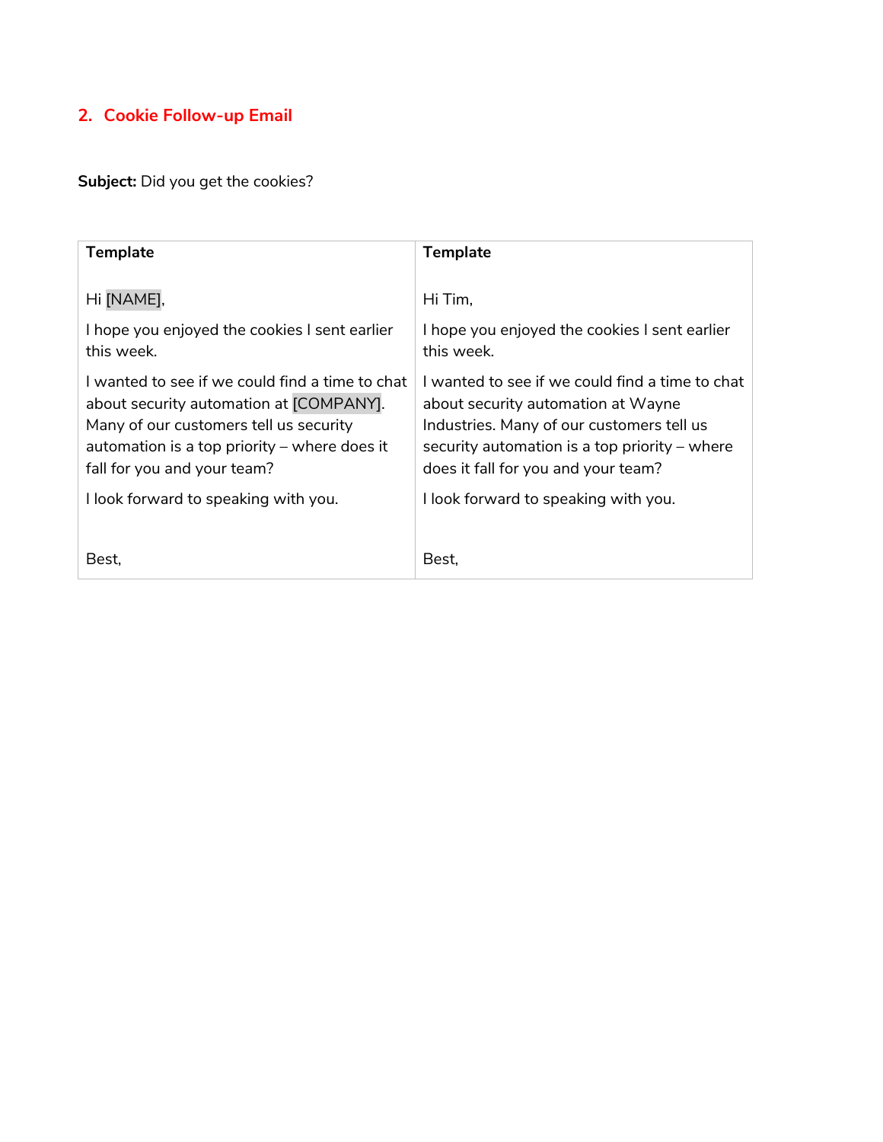# **2. Cookie Follow-up Email**

**Subject:** Did you get the cookies?

| <b>Template</b>                                                                                                                                                                                                       | <b>Template</b>                                                                                                                                                                                                              |
|-----------------------------------------------------------------------------------------------------------------------------------------------------------------------------------------------------------------------|------------------------------------------------------------------------------------------------------------------------------------------------------------------------------------------------------------------------------|
| Hi [NAME],                                                                                                                                                                                                            | Hi Tim.                                                                                                                                                                                                                      |
| I hope you enjoyed the cookies I sent earlier<br>this week.                                                                                                                                                           | I hope you enjoyed the cookies I sent earlier<br>this week.                                                                                                                                                                  |
| l wanted to see if we could find a time to chat<br>about security automation at [COMPANY].<br>Many of our customers tell us security<br>automation is a top priority $-$ where does it<br>fall for you and your team? | l wanted to see if we could find a time to chat<br>about security automation at Wayne<br>Industries. Many of our customers tell us<br>security automation is a top priority $-$ where<br>does it fall for you and your team? |
| I look forward to speaking with you.                                                                                                                                                                                  | I look forward to speaking with you.                                                                                                                                                                                         |
| Best.                                                                                                                                                                                                                 | Best.                                                                                                                                                                                                                        |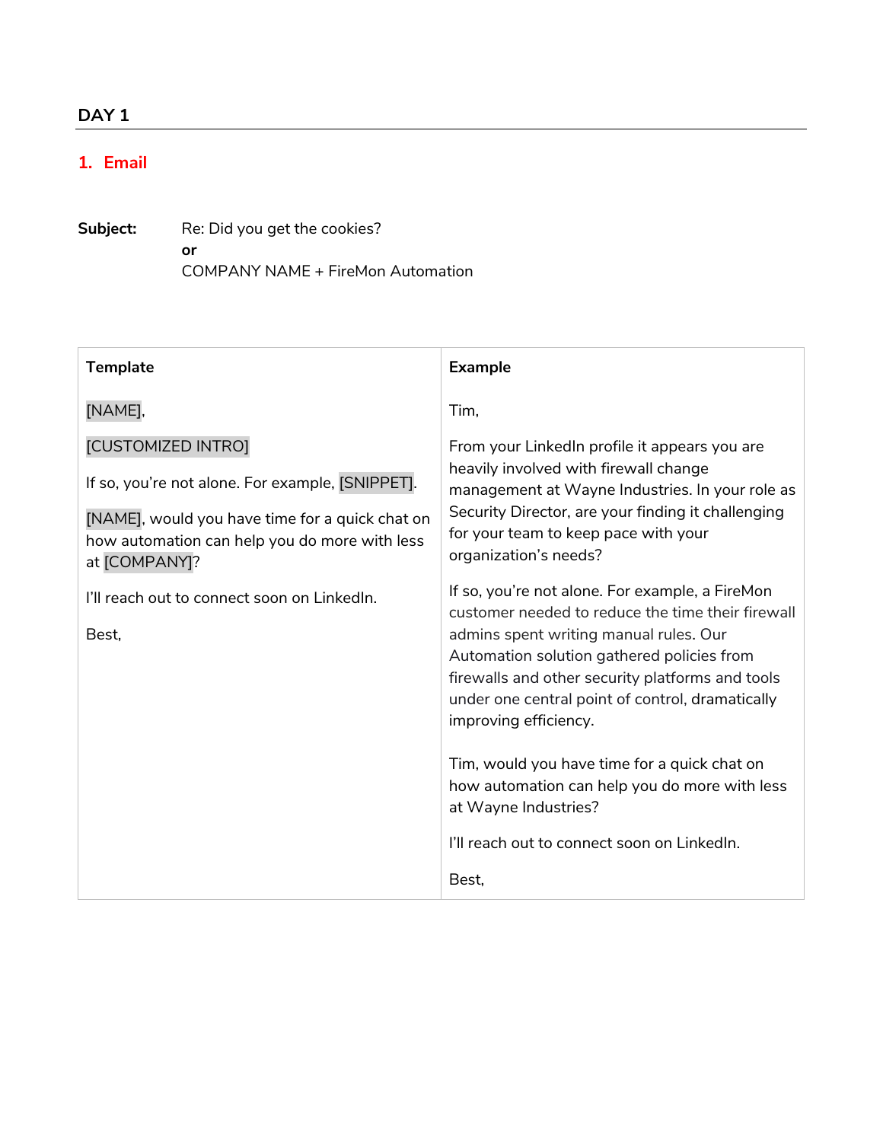# **1. Email**

Subject: Re: Did you get the cookies?  **or** COMPANY NAME + FireMon Automation

| <b>Template</b>                                                                                                   | <b>Example</b>                                                                                                      |
|-------------------------------------------------------------------------------------------------------------------|---------------------------------------------------------------------------------------------------------------------|
| [NAME],                                                                                                           | Tim,                                                                                                                |
| [CUSTOMIZED INTRO]                                                                                                | From your Linkedln profile it appears you are                                                                       |
| If so, you're not alone. For example, [SNIPPET].                                                                  | heavily involved with firewall change<br>management at Wayne Industries. In your role as                            |
| [NAME], would you have time for a quick chat on<br>how automation can help you do more with less<br>at [COMPANY]? | Security Director, are your finding it challenging<br>for your team to keep pace with your<br>organization's needs? |
| I'll reach out to connect soon on Linkedln.                                                                       | If so, you're not alone. For example, a FireMon<br>customer needed to reduce the time their firewall                |
| Best,                                                                                                             | admins spent writing manual rules. Our<br>Automation solution gathered policies from                                |
|                                                                                                                   | firewalls and other security platforms and tools                                                                    |
|                                                                                                                   | under one central point of control, dramatically<br>improving efficiency.                                           |
|                                                                                                                   | Tim, would you have time for a quick chat on<br>how automation can help you do more with less                       |
|                                                                                                                   | at Wayne Industries?                                                                                                |
|                                                                                                                   | I'll reach out to connect soon on Linkedln.                                                                         |
|                                                                                                                   | Best,                                                                                                               |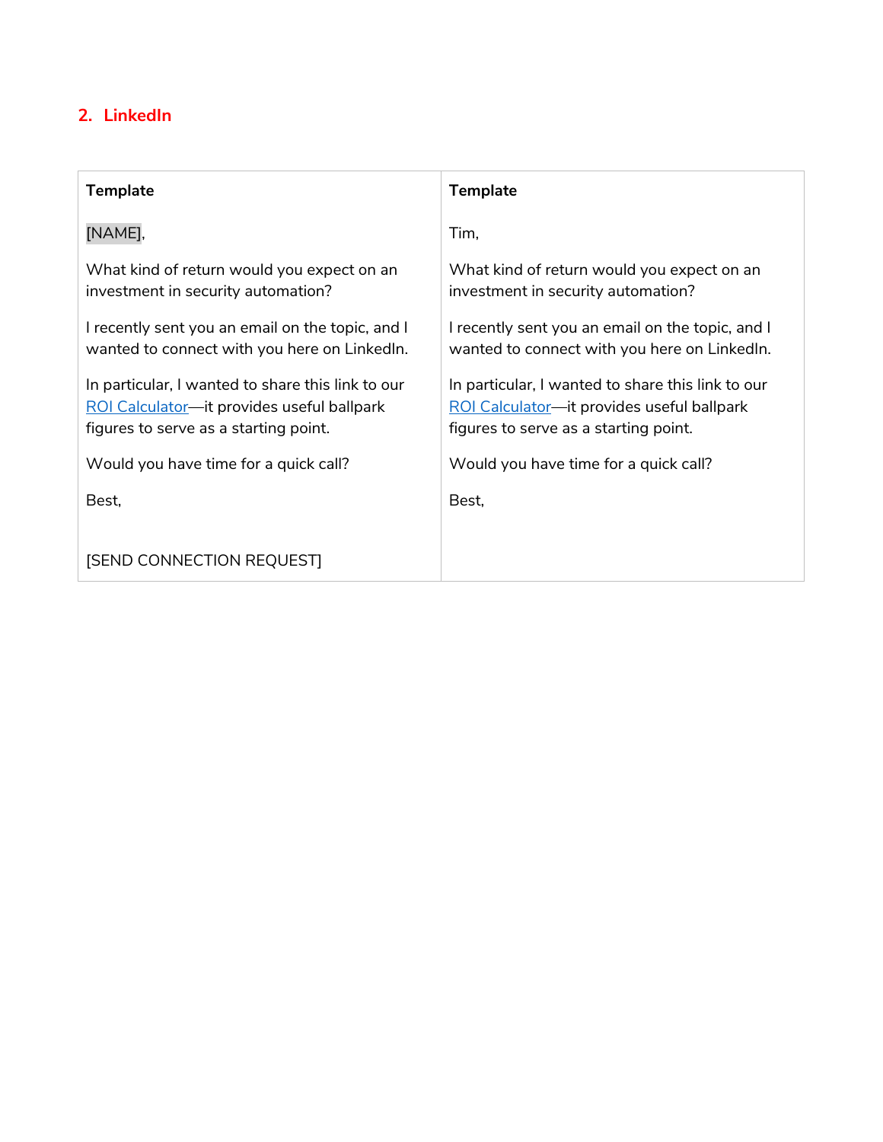# **2. LinkedIn**

| <b>Template</b>                                                                                                                          | <b>Template</b>                                                                                                                          |
|------------------------------------------------------------------------------------------------------------------------------------------|------------------------------------------------------------------------------------------------------------------------------------------|
| [NAME],                                                                                                                                  | Tim,                                                                                                                                     |
| What kind of return would you expect on an<br>investment in security automation?                                                         | What kind of return would you expect on an<br>investment in security automation?                                                         |
| I recently sent you an email on the topic, and I<br>wanted to connect with you here on Linkedln.                                         | I recently sent you an email on the topic, and I<br>wanted to connect with you here on LinkedIn.                                         |
| In particular, I wanted to share this link to our<br>ROI Calculator—it provides useful ballpark<br>figures to serve as a starting point. | In particular, I wanted to share this link to our<br>ROI Calculator-it provides useful ballpark<br>figures to serve as a starting point. |
| Would you have time for a quick call?                                                                                                    | Would you have time for a quick call?                                                                                                    |
| Best,                                                                                                                                    | Best,                                                                                                                                    |
| <b>[SEND CONNECTION REQUEST]</b>                                                                                                         |                                                                                                                                          |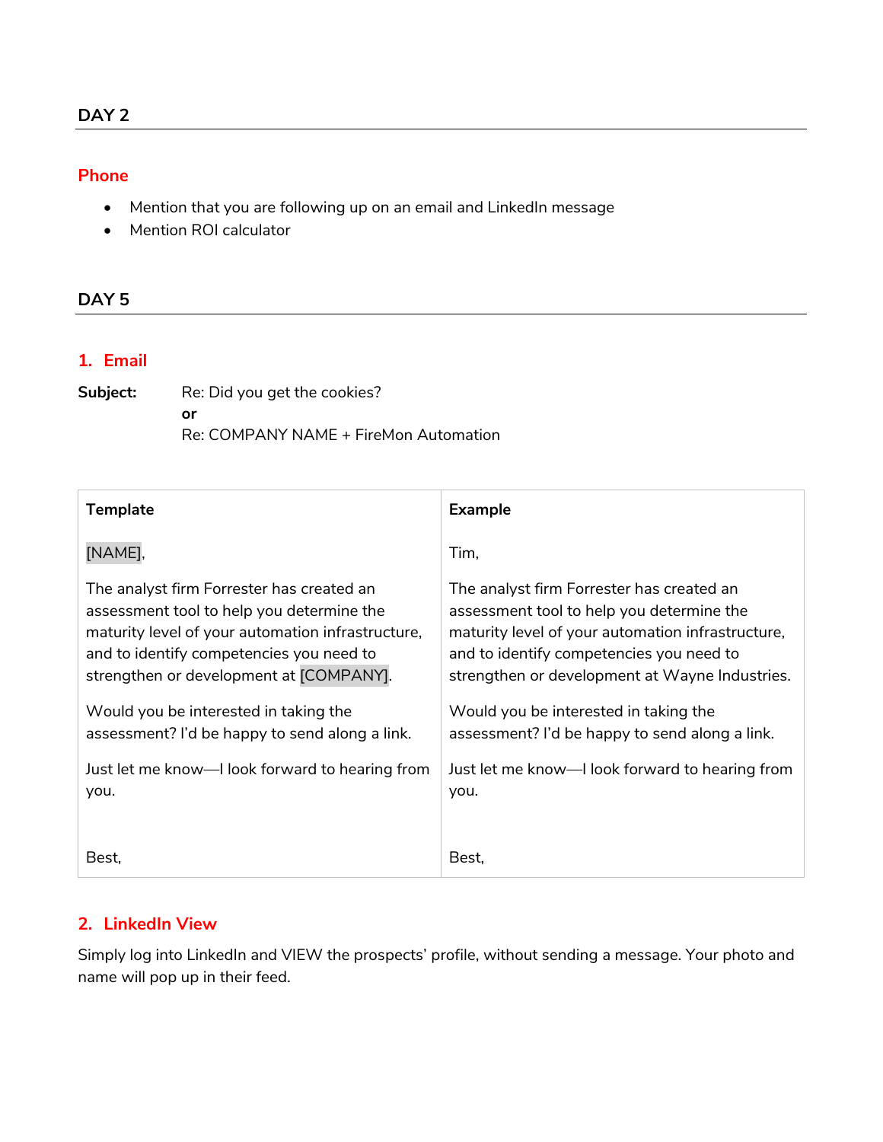### **Phone**

- Mention that you are following up on an email and LinkedIn message
- Mention ROI calculator

# **DAY 5**

#### **1. Email**

| Subject: | Re: Did you get the cookies?          |  |
|----------|---------------------------------------|--|
|          | Ωr                                    |  |
|          | Re: COMPANY NAME + FireMon Automation |  |

| <b>Template</b>                                   | <b>Example</b>                                    |
|---------------------------------------------------|---------------------------------------------------|
| [NAME],                                           | Tim,                                              |
| The analyst firm Forrester has created an         | The analyst firm Forrester has created an         |
| assessment tool to help you determine the         | assessment tool to help you determine the         |
| maturity level of your automation infrastructure, | maturity level of your automation infrastructure, |
| and to identify competencies you need to          | and to identify competencies you need to          |
| strengthen or development at [COMPANY].           | strengthen or development at Wayne Industries.    |
| Would you be interested in taking the             | Would you be interested in taking the             |
| assessment? I'd be happy to send along a link.    | assessment? I'd be happy to send along a link.    |
| Just let me know—I look forward to hearing from   | Just let me know—I look forward to hearing from   |
| you.                                              | you.                                              |
| Best,                                             | Best,                                             |

# **2. LinkedIn View**

Simply log into LinkedIn and VIEW the prospects' profile, without sending a message. Your photo and name will pop up in their feed.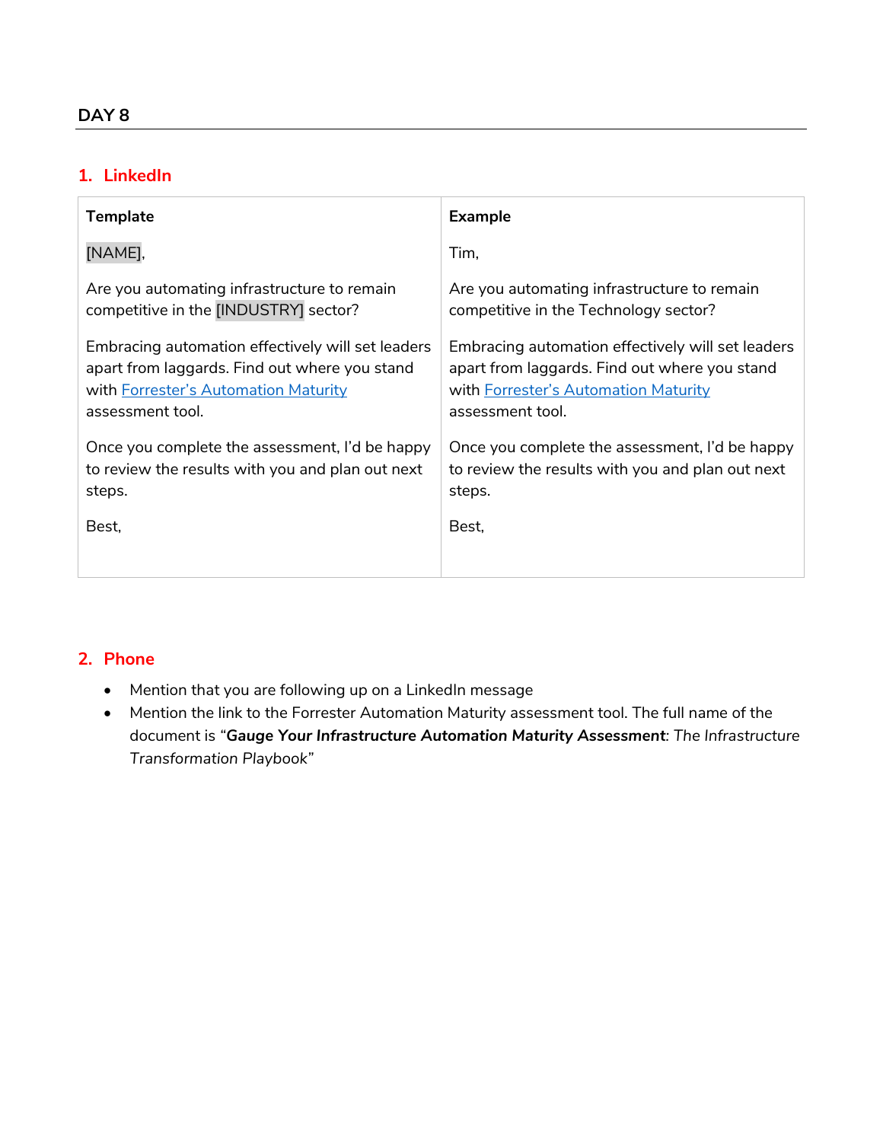# **1. LinkedIn**

| <b>Template</b>                                   | <b>Example</b>                                    |
|---------------------------------------------------|---------------------------------------------------|
| [NAME],                                           | Tim,                                              |
| Are you automating infrastructure to remain       | Are you automating infrastructure to remain       |
| competitive in the [INDUSTRY] sector?             | competitive in the Technology sector?             |
| Embracing automation effectively will set leaders | Embracing automation effectively will set leaders |
| apart from laggards. Find out where you stand     | apart from laggards. Find out where you stand     |
| with Forrester's Automation Maturity              | with Forrester's Automation Maturity              |
| assessment tool.                                  | assessment tool.                                  |
| Once you complete the assessment, I'd be happy    | Once you complete the assessment, I'd be happy    |
| to review the results with you and plan out next  | to review the results with you and plan out next  |
| steps.                                            | steps.                                            |
| Best,                                             | Best,                                             |

- Mention that you are following up on a LinkedIn message
- Mention the link to the Forrester Automation Maturity assessment tool. The full name of the document is *"Gauge Your Infrastructure Automation Maturity Assessment: The Infrastructure Transformation Playbook"*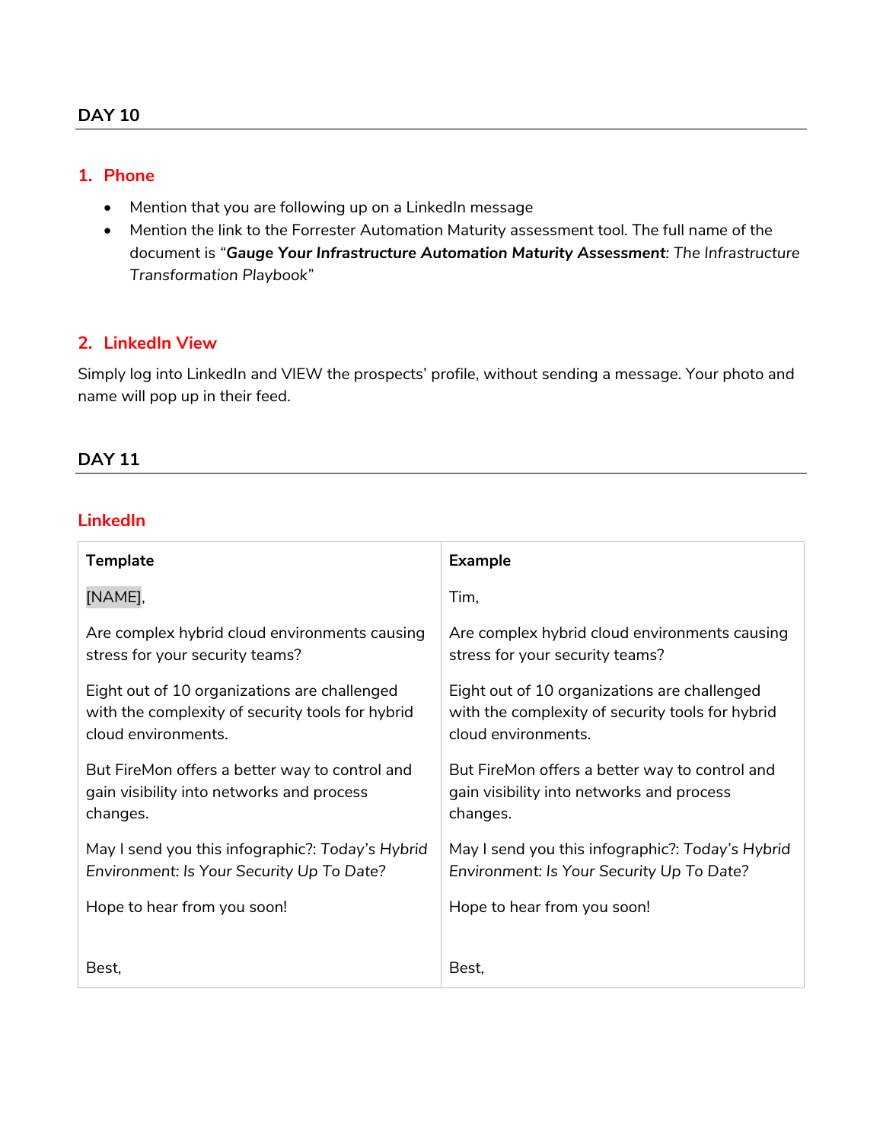# **1. Phone**

- Mention that you are following up on a LinkedIn message
- Mention the link to the Forrester Automation Maturity assessment tool. The full name of the document is *"Gauge Your Infrastructure Automation Maturity Assessment: The Infrastructure Transformation Playbook"*

# **2. LinkedIn View**

Simply log into LinkedIn and VIEW the prospects' profile, without sending a message. Your photo and name will pop up in their feed.

# **DAY 11**

# **LinkedIn**

| <b>Template</b>                                  | <b>Example</b>                                   |
|--------------------------------------------------|--------------------------------------------------|
| [NAME],                                          | Tim,                                             |
| Are complex hybrid cloud environments causing    | Are complex hybrid cloud environments causing    |
| stress for your security teams?                  | stress for your security teams?                  |
| Eight out of 10 organizations are challenged     | Eight out of 10 organizations are challenged     |
| with the complexity of security tools for hybrid | with the complexity of security tools for hybrid |
| cloud environments.                              | cloud environments.                              |
| But FireMon offers a better way to control and   | But FireMon offers a better way to control and   |
| gain visibility into networks and process        | gain visibility into networks and process        |
| changes.                                         | changes.                                         |
| May I send you this infographic?: Today's Hybrid | May I send you this infographic?: Today's Hybrid |
| Environment: Is Your Security Up To Date?        | Environment: Is Your Security Up To Date?        |
| Hope to hear from you soon!                      | Hope to hear from you soon!                      |
| Best,                                            | Best,                                            |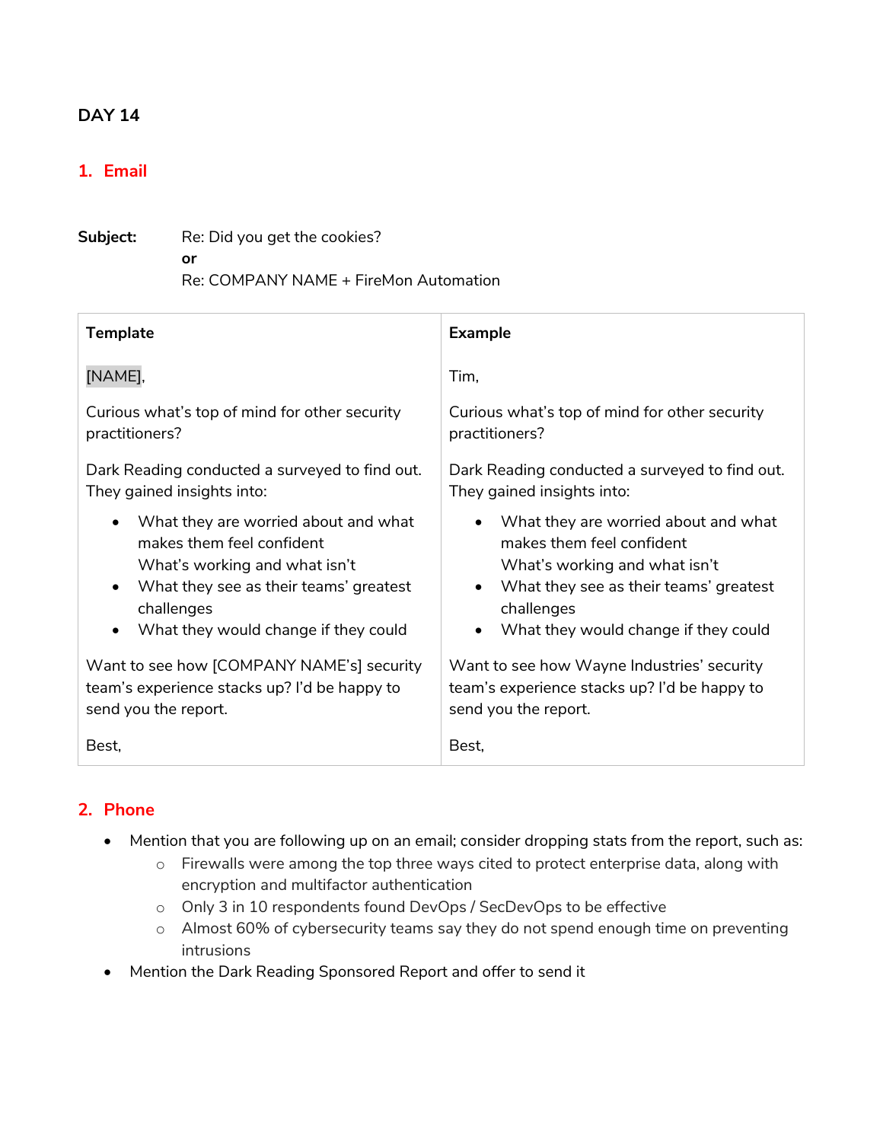# **1. Email**

| Subject: | Re: Did you get the cookies?          |  |
|----------|---------------------------------------|--|
|          | Ωr                                    |  |
|          | Re: COMPANY NAME + FireMon Automation |  |

| <b>Template</b>                                | <b>Example</b>                                 |
|------------------------------------------------|------------------------------------------------|
| [NAME],                                        | Tim,                                           |
| Curious what's top of mind for other security  | Curious what's top of mind for other security  |
| practitioners?                                 | practitioners?                                 |
| Dark Reading conducted a surveyed to find out. | Dark Reading conducted a surveyed to find out. |
| They gained insights into:                     | They gained insights into:                     |
| What they are worried about and what           | What they are worried about and what           |
| makes them feel confident                      | makes them feel confident                      |
| What's working and what isn't                  | What's working and what isn't                  |
| What they see as their teams' greatest         | What they see as their teams' greatest         |
| challenges                                     | challenges                                     |
| What they would change if they could           | What they would change if they could           |
| Want to see how [COMPANY NAME's] security      | Want to see how Wayne Industries' security     |
| team's experience stacks up? I'd be happy to   | team's experience stacks up? I'd be happy to   |
| send you the report.                           | send you the report.                           |
| Best,                                          | Best,                                          |

- Mention that you are following up on an email; consider dropping stats from the report, such as:
	- o Firewalls were among the top three ways cited to protect enterprise data, along with encryption and multifactor authentication
	- o Only 3 in 10 respondents found DevOps / SecDevOps to be effective
	- o Almost 60% of cybersecurity teams say they do not spend enough time on preventing intrusions
- Mention the Dark Reading Sponsored Report and offer to send it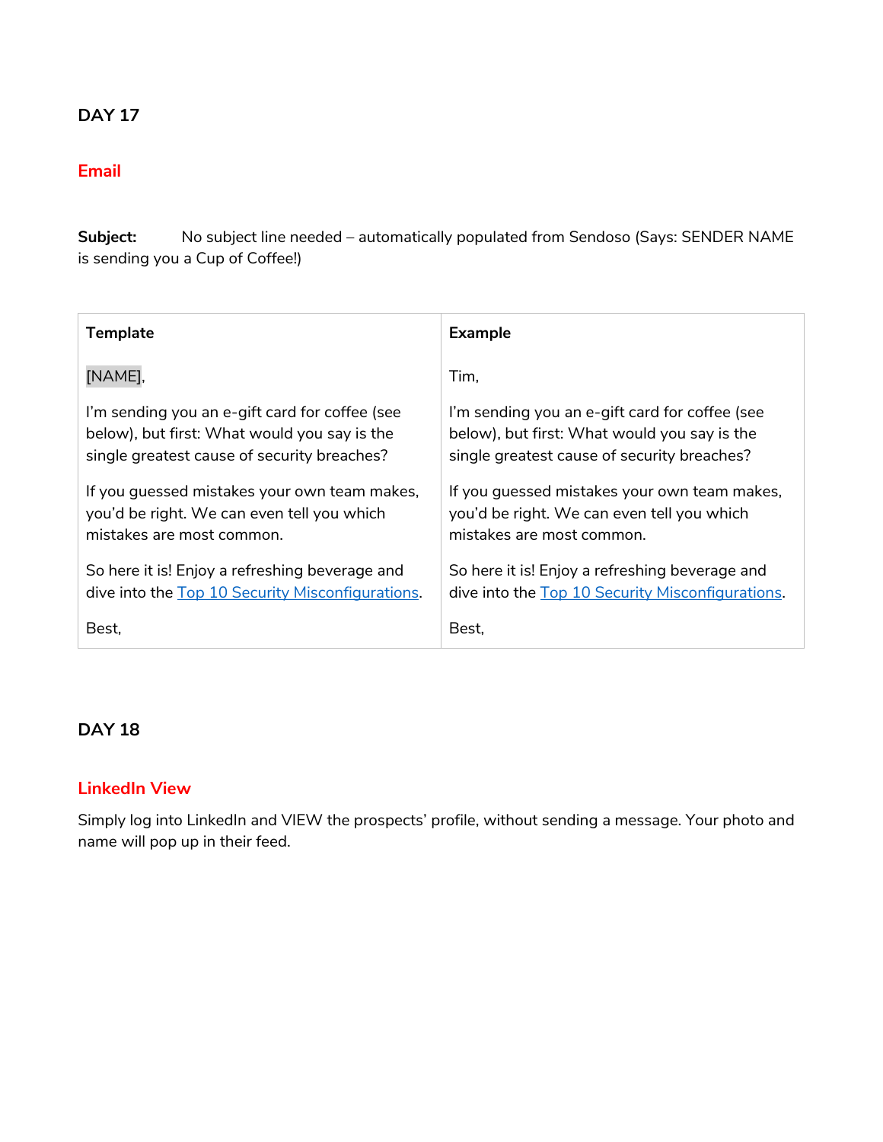# **Email**

**Subject:** No subject line needed – automatically populated from Sendoso (Says: SENDER NAME is sending you a Cup of Coffee!)

| <b>Template</b>                                  | <b>Example</b>                                   |
|--------------------------------------------------|--------------------------------------------------|
| [NAME],                                          | Tim.                                             |
| I'm sending you an e-gift card for coffee (see   | I'm sending you an e-gift card for coffee (see   |
| below), but first: What would you say is the     | below), but first: What would you say is the     |
| single greatest cause of security breaches?      | single greatest cause of security breaches?      |
| If you guessed mistakes your own team makes,     | If you guessed mistakes your own team makes,     |
| you'd be right. We can even tell you which       | you'd be right. We can even tell you which       |
| mistakes are most common.                        | mistakes are most common.                        |
| So here it is! Enjoy a refreshing beverage and   | So here it is! Enjoy a refreshing beverage and   |
| dive into the Top 10 Security Misconfigurations. | dive into the Top 10 Security Misconfigurations. |
| Best,                                            | Best.                                            |

# **DAY 18**

# **LinkedIn View**

Simply log into LinkedIn and VIEW the prospects' profile, without sending a message. Your photo and name will pop up in their feed.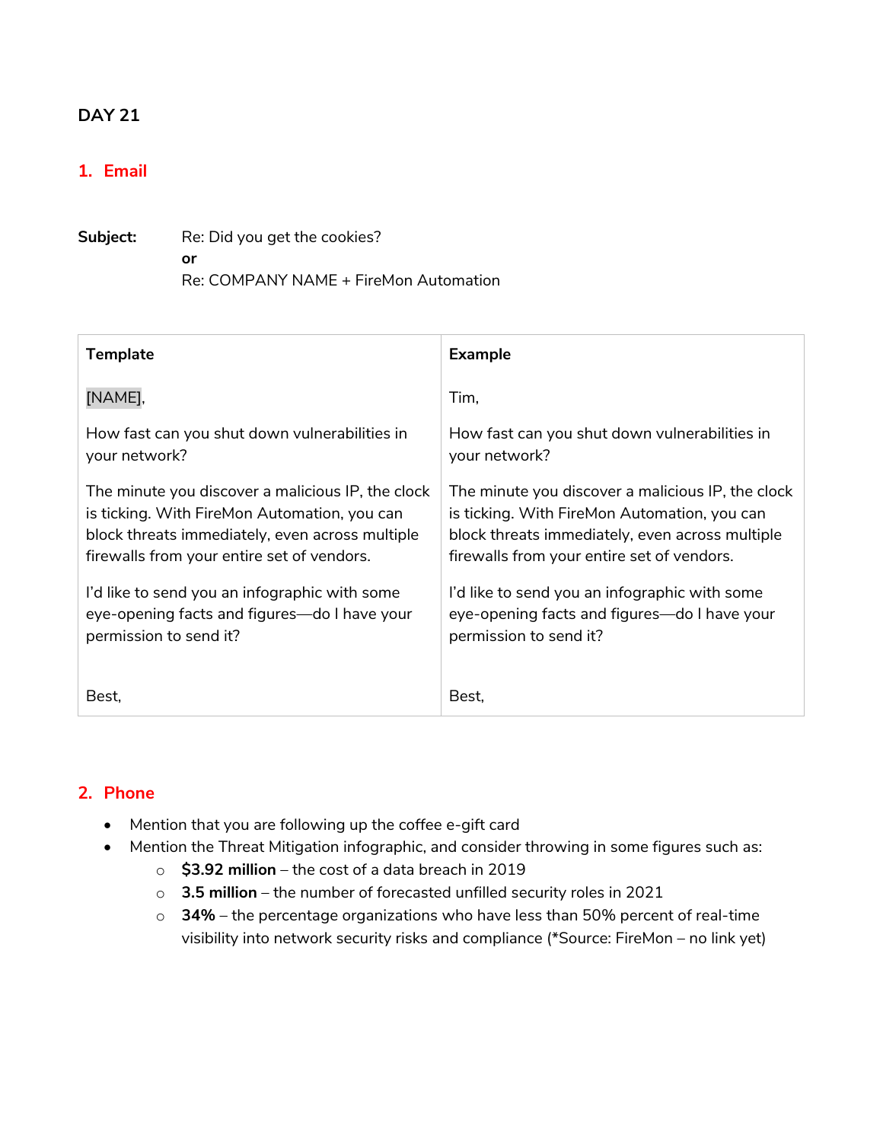# **1. Email**

| Subject: | Re: Did you get the cookies?          |  |
|----------|---------------------------------------|--|
|          | Ωr                                    |  |
|          | Re: COMPANY NAME + FireMon Automation |  |

| <b>Template</b>                                   | <b>Example</b>                                    |
|---------------------------------------------------|---------------------------------------------------|
| [NAME],                                           | Tim,                                              |
| How fast can you shut down vulnerabilities in     | How fast can you shut down vulnerabilities in     |
| your network?                                     | your network?                                     |
| The minute you discover a malicious IP, the clock | The minute you discover a malicious IP, the clock |
| is ticking. With FireMon Automation, you can      | is ticking. With FireMon Automation, you can      |
| block threats immediately, even across multiple   | block threats immediately, even across multiple   |
| firewalls from your entire set of vendors.        | firewalls from your entire set of vendors.        |
| I'd like to send you an infographic with some     | I'd like to send you an infographic with some     |
| eye-opening facts and figures—do I have your      | eye-opening facts and figures—do I have your      |
| permission to send it?                            | permission to send it?                            |
| Best,                                             | Best,                                             |

- Mention that you are following up the coffee e-gift card
- Mention the Threat Mitigation infographic, and consider throwing in some figures such as:
	- o **\$3.92 million** the cost of a data breach in 2019
	- o **3.5 million** the number of forecasted unfilled security roles in 2021
	- o **34%** the percentage organizations who have less than 50% percent of real-time visibility into network security risks and compliance (\*Source: FireMon – no link yet)